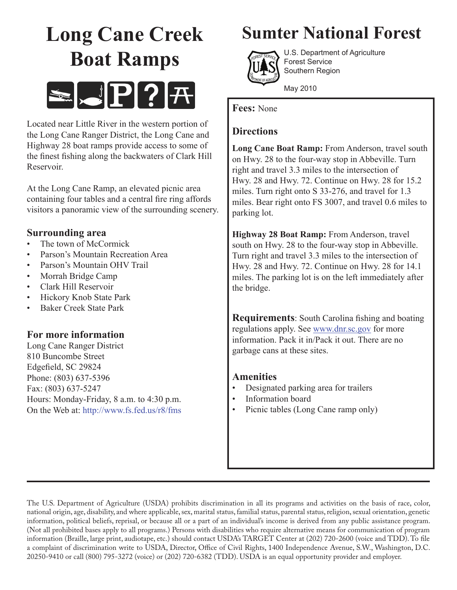# **Long Cane Creek Boat Ramps**



Located near Little River in the western portion of the Long Cane Ranger District, the Long Cane and Highway 28 boat ramps provide access to some of the finest fishing along the backwaters of Clark Hill Reservoir.

At the Long Cane Ramp, an elevated picnic area containing four tables and a central fire ring affords visitors a panoramic view of the surrounding scenery.

## **Surrounding area**

- The town of McCormick
- Parson's Mountain Recreation Area
- Parson's Mountain OHV Trail
- Morrah Bridge Camp
- Clark Hill Reservoir
- Hickory Knob State Park
- Baker Creek State Park

## **For more information**

Long Cane Ranger District 810 Buncombe Street Edgefield, SC 29824 Phone: (803) 637-5396 Fax: (803) 637-5247 Hours: Monday-Friday, 8 a.m. to 4:30 p.m. On the Web at: http://www.fs.fed.us/r8/fms

# **Sumter National Forest**



U.S. Department of Agriculture Forest Service Southern Region

May 2010

**Fees:** None

# **Directions**

**Long Cane Boat Ramp:** From Anderson, travel south on Hwy. 28 to the four-way stop in Abbeville. Turn right and travel 3.3 miles to the intersection of Hwy. 28 and Hwy. 72. Continue on Hwy. 28 for 15.2 miles. Turn right onto S 33-276, and travel for 1.3 miles. Bear right onto FS 3007, and travel 0.6 miles to parking lot.

**Highway 28 Boat Ramp:** From Anderson, travel south on Hwy. 28 to the four-way stop in Abbeville. Turn right and travel 3.3 miles to the intersection of Hwy. 28 and Hwy. 72. Continue on Hwy. 28 for 14.1 miles. The parking lot is on the left immediately after the bridge.

**Requirements**: South Carolina fishing and boating regulations apply. See www.dnr.sc.gov for more information. Pack it in/Pack it out. There are no garbage cans at these sites.

## **Amenities**

- Designated parking area for trailers
- Information board
- Picnic tables (Long Cane ramp only)

The U.S. Department of Agriculture (USDA) prohibits discrimination in all its programs and activities on the basis of race, color, national origin, age, disability, and where applicable, sex, marital status, familial status, parental status, religion, sexual orientation, genetic information, political beliefs, reprisal, or because all or a part of an individual's income is derived from any public assistance program. (Not all prohibited bases apply to all programs.) Persons with disabilities who require alternative means for communication of program information (Braille, large print, audiotape, etc.) should contact USDA's TARGET Center at (202) 720-2600 (voice and TDD). To file a complaint of discrimination write to USDA, Director, Office of Civil Rights, 1400 Independence Avenue, S.W., Washington, D.C. 20250-9410 or call (800) 795-3272 (voice) or (202) 720-6382 (TDD). USDA is an equal opportunity provider and employer.